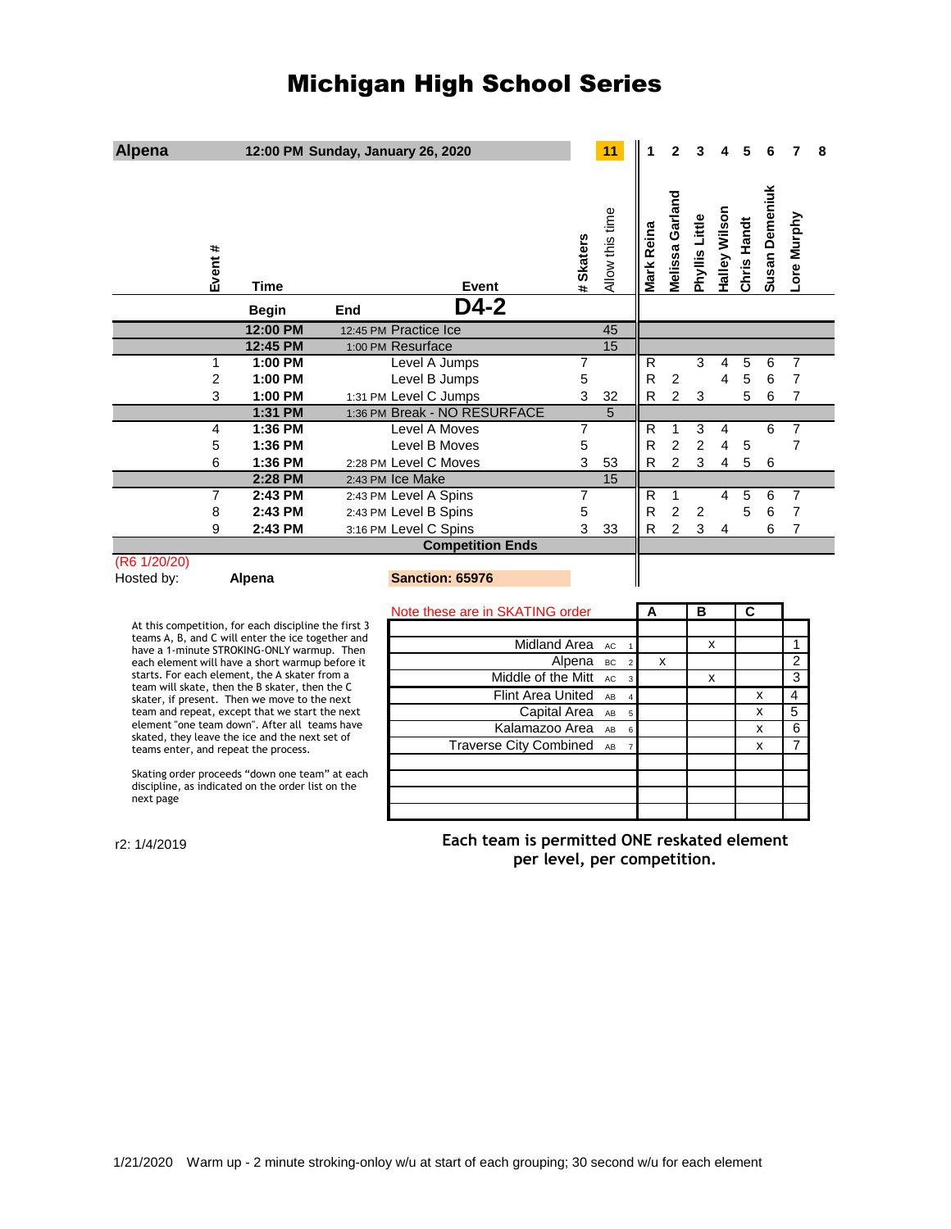# Michigan High School Series

| <b>Alpena</b>                                                                                                    |                    | 12:00 PM Sunday, January 26, 2020 |                                               |                                                 |           | 11                          |              | 2                   |                |               |                         |                |                | 8 |
|------------------------------------------------------------------------------------------------------------------|--------------------|-----------------------------------|-----------------------------------------------|-------------------------------------------------|-----------|-----------------------------|--------------|---------------------|----------------|---------------|-------------------------|----------------|----------------|---|
| Event #                                                                                                          | Time               |                                   | Event                                         |                                                 | # Skaters | Allow this time             | Mark Reina   | Melissa Garland     | Phyllis Little | Halley Wilson | Chris Handt             | Susan Demeniuk | Lore Murphy    |   |
|                                                                                                                  | <b>Begin</b>       | End                               | D4-2                                          |                                                 |           |                             |              |                     |                |               |                         |                |                |   |
|                                                                                                                  | 12:00 PM           |                                   | 12:45 PM Practice Ice                         |                                                 |           | 45                          |              |                     |                |               |                         |                |                |   |
|                                                                                                                  | 12:45 PM           |                                   | 1:00 PM Resurface                             |                                                 |           | 15                          |              |                     |                |               |                         |                |                |   |
| 1                                                                                                                | 1:00 PM            |                                   | Level A Jumps                                 |                                                 | 7         |                             | $\mathsf{R}$ |                     | 3              | 4             | 5                       | 6              | 7              |   |
| 2                                                                                                                | 1:00 PM            |                                   | Level B Jumps                                 |                                                 | 5         |                             | R            | $\boldsymbol{2}$    |                | 4             | 5                       | 6              | $\overline{7}$ |   |
| 3                                                                                                                | 1:00 PM            |                                   | 1:31 PM Level C Jumps                         |                                                 | 3         | 32                          | R            | $\overline{2}$      | 3              |               | 5                       | 6              | $\overline{7}$ |   |
| 4                                                                                                                | 1:31 PM<br>1:36 PM |                                   | 1:36 PM Break - NO RESURFACE<br>Level A Moves |                                                 |           | 5                           | $\mathsf{R}$ |                     | 3              | 4             |                         | 6              | $\overline{7}$ |   |
| 5                                                                                                                | 1:36 PM            |                                   | Level B Moves                                 |                                                 | 7<br>5    |                             | R            | 1<br>$\overline{c}$ | 2              | 4             | 5                       |                | $\overline{7}$ |   |
| 6                                                                                                                | 1:36 PM            |                                   | 2:28 PM Level C Moves                         |                                                 | 3         | 53                          | R            | $\overline{2}$      | 3              | 4             | 5                       | 6              |                |   |
|                                                                                                                  | 2:28 PM            |                                   | 2:43 PM Ice Make                              |                                                 |           | 15                          |              |                     |                |               |                         |                |                |   |
| 7                                                                                                                | 2:43 PM            |                                   | 2:43 PM Level A Spins                         |                                                 | 7         |                             | R            | 1                   |                | 4             | 5                       | 6              | 7              |   |
| 8                                                                                                                | 2:43 PM            |                                   | 2:43 PM Level B Spins                         |                                                 | 5         |                             | R            | $\overline{2}$      | 2              |               | 5                       | 6              | $\overline{7}$ |   |
| 9                                                                                                                | 2:43 PM            |                                   | 3:16 PM Level C Spins                         |                                                 | 3         | 33                          | R            | 2                   | 3              | 4             |                         | 6              | $\overline{7}$ |   |
|                                                                                                                  |                    |                                   | <b>Competition Ends</b>                       |                                                 |           |                             |              |                     |                |               |                         |                |                |   |
| (R6 1/20/20)<br>Hosted by:                                                                                       | Alpena             |                                   | <b>Sanction: 65976</b>                        |                                                 |           |                             |              |                     |                |               |                         |                |                |   |
|                                                                                                                  |                    |                                   | Note these are in SKATING order               |                                                 |           |                             | A            |                     | В              |               | $\overline{\mathbf{c}}$ |                |                |   |
| At this competition, for each discipline the first 3<br>teams A, B, and C will enter the ice together and        |                    |                                   |                                               |                                                 |           |                             |              |                     |                |               |                         |                |                |   |
| have a 1-minute STROKING-ONLY warmup. Then                                                                       |                    |                                   |                                               | <b>Midland Area</b>                             |           | AC                          |              |                     |                | x             |                         |                | 1              |   |
| each element will have a short warmup before it                                                                  |                    |                                   |                                               |                                                 | Alpena    | BC<br>$\overline{2}$        |              | X                   |                |               |                         |                | $\overline{2}$ |   |
| starts. For each element, the A skater from a<br>team will skate, then the B skater, then the C                  |                    |                                   |                                               | Middle of the Mitt                              |           | <b>AC</b><br>$\overline{3}$ |              |                     |                | x             |                         |                | $\overline{3}$ |   |
| skater, if present. Then we move to the next                                                                     |                    |                                   |                                               | <b>Flint Area United</b>                        |           | AB<br>$\overline{4}$        |              |                     |                |               |                         | x              | $\overline{4}$ |   |
| team and repeat, except that we start the next<br>element "one team down". After all teams have                  |                    |                                   |                                               | Capital Area                                    |           | AB<br>$\overline{5}$        |              |                     |                |               |                         | x              | $\overline{5}$ |   |
| skated, they leave the ice and the next set of                                                                   |                    |                                   |                                               | Kalamazoo Area<br><b>Traverse City Combined</b> |           | AB<br>$\boldsymbol{6}$      |              |                     |                |               |                         | x              | 6<br>7         |   |
| teams enter, and repeat the process.                                                                             |                    |                                   |                                               |                                                 |           | AB<br>$\overline{7}$        |              |                     |                |               |                         | x              |                |   |
| Skating order proceeds "down one team" at each<br>discipline, as indicated on the order list on the<br>next page |                    |                                   |                                               |                                                 |           |                             |              |                     |                |               |                         |                |                |   |
| $-0.1110010$                                                                                                     |                    |                                   |                                               | Each team is nermitted ONE reskated element     |           |                             |              |                     |                |               |                         |                |                |   |

r2: 1/4/2019

**Each team is permitted ONE reskated element per level, per competition.**